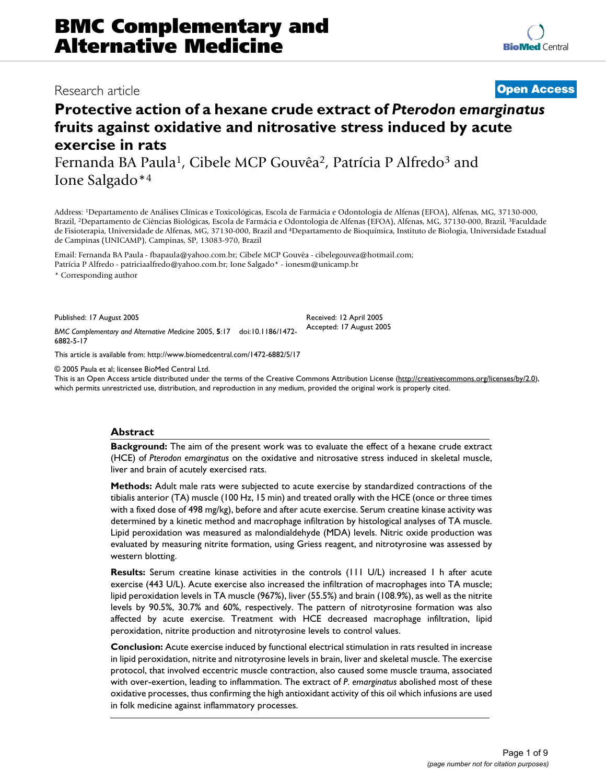## Research article **[Open Access](http://www.biomedcentral.com/info/about/charter/)**

# **Protective action of a hexane crude extract of** *Pterodon emarginatus*  **fruits against oxidative and nitrosative stress induced by acute exercise in rats** Fernanda BA Paula<sup>1</sup>, Cibele MCP Gouvêa<sup>2</sup>, Patrícia P Alfredo<sup>3</sup> and

Ione Salgado\*4

Address: 1Departamento de Análises Clínicas e Toxicológicas, Escola de Farmácia e Odontologia de Alfenas (EFOA), Alfenas, MG, 37130-000, Brazil, 2Departamento de Ciências Biológicas, Escola de Farmácia e Odontologia de Alfenas (EFOA), Alfenas, MG, 37130-000, Brazil, 3Faculdade de Fisioterapia, Universidade de Alfenas, MG, 37130-000, Brazil and 4Departamento de Bioquímica, Instituto de Biologia, Universidade Estadual de Campinas (UNICAMP), Campinas, SP, 13083-970, Brazil

Email: Fernanda BA Paula - fbapaula@yahoo.com.br; Cibele MCP Gouvêa - cibelegouvea@hotmail.com; Patrícia P Alfredo - patriciaalfredo@yahoo.com.br; Ione Salgado\* - ionesm@unicamp.br

\* Corresponding author

Published: 17 August 2005 *BMC Complementary and Alternative Medicine* 2005, **5**:17 doi:10.1186/1472- 6882-5-17 Received: 12 April 2005 Accepted: 17 August 2005

[This article is available from: http://www.biomedcentral.com/1472-6882/5/17](http://www.biomedcentral.com/1472-6882/5/17)

© 2005 Paula et al; licensee BioMed Central Ltd.

This is an Open Access article distributed under the terms of the Creative Commons Attribution License [\(http://creativecommons.org/licenses/by/2.0\)](http://creativecommons.org/licenses/by/2.0), which permits unrestricted use, distribution, and reproduction in any medium, provided the original work is properly cited.

## **Abstract**

**Background:** The aim of the present work was to evaluate the effect of a hexane crude extract (HCE) of *Pterodon emarginatus* on the oxidative and nitrosative stress induced in skeletal muscle, liver and brain of acutely exercised rats.

**Methods:** Adult male rats were subjected to acute exercise by standardized contractions of the tibialis anterior (TA) muscle (100 Hz, 15 min) and treated orally with the HCE (once or three times with a fixed dose of 498 mg/kg), before and after acute exercise. Serum creatine kinase activity was determined by a kinetic method and macrophage infiltration by histological analyses of TA muscle. Lipid peroxidation was measured as malondialdehyde (MDA) levels. Nitric oxide production was evaluated by measuring nitrite formation, using Griess reagent, and nitrotyrosine was assessed by western blotting.

**Results:** Serum creatine kinase activities in the controls (111 U/L) increased 1 h after acute exercise (443 U/L). Acute exercise also increased the infiltration of macrophages into TA muscle; lipid peroxidation levels in TA muscle (967%), liver (55.5%) and brain (108.9%), as well as the nitrite levels by 90.5%, 30.7% and 60%, respectively. The pattern of nitrotyrosine formation was also affected by acute exercise. Treatment with HCE decreased macrophage infiltration, lipid peroxidation, nitrite production and nitrotyrosine levels to control values.

**Conclusion:** Acute exercise induced by functional electrical stimulation in rats resulted in increase in lipid peroxidation, nitrite and nitrotyrosine levels in brain, liver and skeletal muscle. The exercise protocol, that involved eccentric muscle contraction, also caused some muscle trauma, associated with over-exertion, leading to inflammation. The extract of *P. emarginatus* abolished most of these oxidative processes, thus confirming the high antioxidant activity of this oil which infusions are used in folk medicine against inflammatory processes.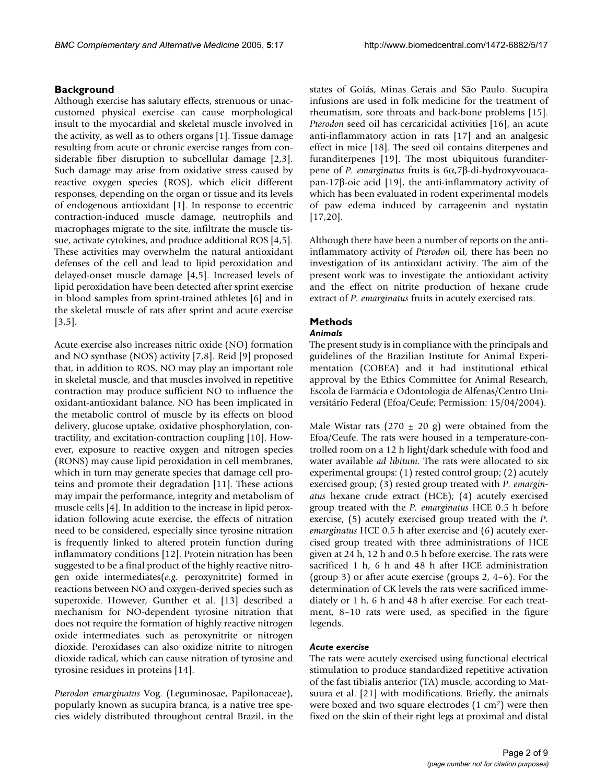## **Background**

Although exercise has salutary effects, strenuous or unaccustomed physical exercise can cause morphological insult to the myocardial and skeletal muscle involved in the activity, as well as to others organs [1]. Tissue damage resulting from acute or chronic exercise ranges from considerable fiber disruption to subcellular damage [2,3]. Such damage may arise from oxidative stress caused by reactive oxygen species (ROS), which elicit different responses, depending on the organ or tissue and its levels of endogenous antioxidant [1]. In response to eccentric contraction-induced muscle damage, neutrophils and macrophages migrate to the site, infiltrate the muscle tissue, activate cytokines, and produce additional ROS [4,5]. These activities may overwhelm the natural antioxidant defenses of the cell and lead to lipid peroxidation and delayed-onset muscle damage [4,5]. Increased levels of lipid peroxidation have been detected after sprint exercise in blood samples from sprint-trained athletes [6] and in the skeletal muscle of rats after sprint and acute exercise [3,5].

Acute exercise also increases nitric oxide (NO) formation and NO synthase (NOS) activity [7,8]. Reid [9] proposed that, in addition to ROS, NO may play an important role in skeletal muscle, and that muscles involved in repetitive contraction may produce sufficient NO to influence the oxidant-antioxidant balance. NO has been implicated in the metabolic control of muscle by its effects on blood delivery, glucose uptake, oxidative phosphorylation, contractility, and excitation-contraction coupling [10]. However, exposure to reactive oxygen and nitrogen species (RONS) may cause lipid peroxidation in cell membranes, which in turn may generate species that damage cell proteins and promote their degradation [11]. These actions may impair the performance, integrity and metabolism of muscle cells [4]. In addition to the increase in lipid peroxidation following acute exercise, the effects of nitration need to be considered, especially since tyrosine nitration is frequently linked to altered protein function during inflammatory conditions [12]. Protein nitration has been suggested to be a final product of the highly reactive nitrogen oxide intermediates(*e.g.* peroxynitrite) formed in reactions between NO and oxygen-derived species such as superoxide. However, Gunther et al. [13] described a mechanism for NO-dependent tyrosine nitration that does not require the formation of highly reactive nitrogen oxide intermediates such as peroxynitrite or nitrogen dioxide. Peroxidases can also oxidize nitrite to nitrogen dioxide radical, which can cause nitration of tyrosine and tyrosine residues in proteins [14].

*Pterodon emarginatus* Vog. (Leguminosae, Papilonaceae), popularly known as sucupira branca, is a native tree species widely distributed throughout central Brazil, in the states of Goiás, Minas Gerais and São Paulo. Sucupira infusions are used in folk medicine for the treatment of rheumatism, sore throats and back-bone problems [15]. *Pterodon* seed oil has cercaricidal activities [16], an acute anti-inflammatory action in rats [17] and an analgesic effect in mice [18]. The seed oil contains diterpenes and furanditerpenes [19]. The most ubiquitous furanditerpene of *P. emarginatus* fruits is 6α,7β-di-hydroxyvouacapan-17β-oic acid [19], the anti-inflammatory activity of which has been evaluated in rodent experimental models of paw edema induced by carrageenin and nystatin [17,20].

Although there have been a number of reports on the antiinflammatory activity of *Pterodon* oil, there has been no investigation of its antioxidant activity. The aim of the present work was to investigate the antioxidant activity and the effect on nitrite production of hexane crude extract of *P. emarginatus* fruits in acutely exercised rats.

## **Methods**

#### *Animals*

The present study is in compliance with the principals and guidelines of the Brazilian Institute for Animal Experimentation (COBEA) and it had institutional ethical approval by the Ethics Committee for Animal Research, Escola de Farmácia e Odontologia de Alfenas/Centro Universitário Federal (Efoa/Ceufe; Permission: 15/04/2004).

Male Wistar rats (270  $\pm$  20 g) were obtained from the Efoa/Ceufe. The rats were housed in a temperature-controlled room on a 12 h light/dark schedule with food and water available *ad libitum*. The rats were allocated to six experimental groups: (1) rested control group; (2) acutely exercised group; (3) rested group treated with *P. emarginatus* hexane crude extract (HCE); (4) acutely exercised group treated with the *P. emarginatus* HCE 0.5 h before exercise, (5) acutely exercised group treated with the *P. emarginatus* HCE 0.5 h after exercise and (6) acutely exercised group treated with three administrations of HCE given at 24 h, 12 h and 0.5 h before exercise. The rats were sacrificed 1 h, 6 h and 48 h after HCE administration (group 3) or after acute exercise (groups 2, 4–6). For the determination of CK levels the rats were sacrificed immediately or 1 h, 6 h and 48 h after exercise. For each treatment, 8–10 rats were used, as specified in the figure legends.

#### *Acute exercise*

The rats were acutely exercised using functional electrical stimulation to produce standardized repetitive activation of the fast tibialis anterior (TA) muscle, according to Matsuura et al. [21] with modifications. Briefly, the animals were boxed and two square electrodes (1 cm2) were then fixed on the skin of their right legs at proximal and distal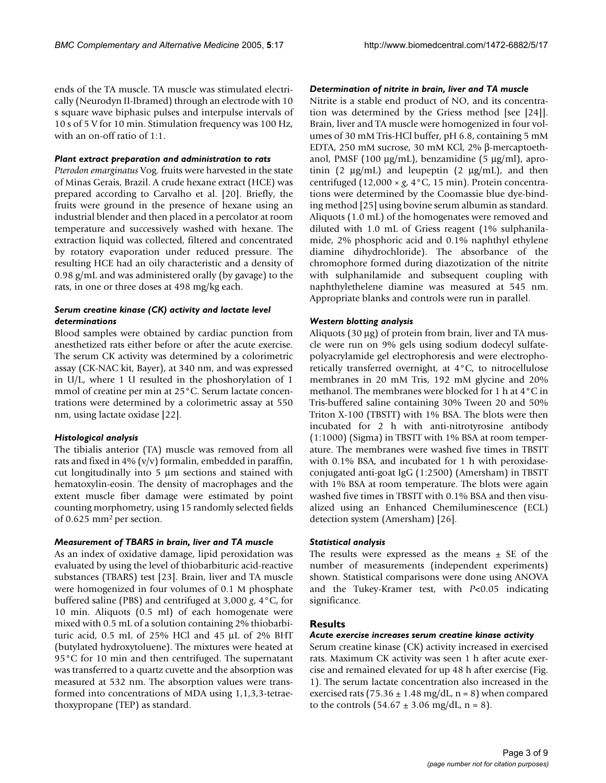ends of the TA muscle. TA muscle was stimulated electrically (Neurodyn II-Ibramed) through an electrode with 10 s square wave biphasic pulses and interpulse intervals of 10 s of 5 V for 10 min. Stimulation frequency was 100 Hz, with an on-off ratio of 1:1.

#### *Plant extract preparation and administration to rats*

*Pterodon emarginatus* Vog. fruits were harvested in the state of Minas Gerais, Brazil. A crude hexane extract (HCE) was prepared according to Carvalho et al. [20]. Briefly, the fruits were ground in the presence of hexane using an industrial blender and then placed in a percolator at room temperature and successively washed with hexane. The extraction liquid was collected, filtered and concentrated by rotatory evaporation under reduced pressure. The resulting HCE had an oily characteristic and a density of 0.98 g/mL and was administered orally (by gavage) to the rats, in one or three doses at 498 mg/kg each.

## *Serum creatine kinase (CK) activity and lactate level determinations*

Blood samples were obtained by cardiac punction from anesthetized rats either before or after the acute exercise. The serum CK activity was determined by a colorimetric assay (CK-NAC kit, Bayer), at 340 nm, and was expressed in U/L, where 1 U resulted in the phoshorylation of 1 mmol of creatine per min at 25°C. Serum lactate concentrations were determined by a colorimetric assay at 550 nm, using lactate oxidase [22].

#### *Histological analysis*

The tibialis anterior (TA) muscle was removed from all rats and fixed in 4% ( $v/v$ ) formalin, embedded in paraffin, cut longitudinally into  $5 \mu m$  sections and stained with hematoxylin-eosin. The density of macrophages and the extent muscle fiber damage were estimated by point counting morphometry, using 15 randomly selected fields of 0.625 mm2 per section.

#### *Measurement of TBARS in brain, liver and TA muscle*

As an index of oxidative damage, lipid peroxidation was evaluated by using the level of thiobarbituric acid-reactive substances (TBARS) test [23]. Brain, liver and TA muscle were homogenized in four volumes of 0.1 M phosphate buffered saline (PBS) and centrifuged at 3,000 *g*, 4°C, for 10 min. Aliquots (0.5 ml) of each homogenate were mixed with 0.5 mL of a solution containing 2% thiobarbituric acid, 0.5 mL of 25% HCl and 45 µL of 2% BHT (butylated hydroxytoluene). The mixtures were heated at 95°C for 10 min and then centrifuged. The supernatant was transferred to a quartz cuvette and the absorption was measured at 532 nm. The absorption values were transformed into concentrations of MDA using 1,1,3,3-tetraethoxypropane (TEP) as standard.

#### *Determination of nitrite in brain, liver and TA muscle*

Nitrite is a stable end product of NO, and its concentration was determined by the Griess method [see [24]]. Brain, liver and TA muscle were homogenized in four volumes of 30 mM Tris-HCl buffer, pH 6.8, containing 5 mM EDTA, 250 mM sucrose, 30 mM KCl, 2% β-mercaptoethanol, PMSF (100 µg/mL), benzamidine (5 µg/ml), aprotinin (2  $\mu$ g/mL) and leupeptin (2  $\mu$ g/mL), and then centrifuged (12,000 × *g*, 4°C, 15 min). Protein concentrations were determined by the Coomassie blue dye-binding method [25] using bovine serum albumin as standard. Aliquots (1.0 mL) of the homogenates were removed and diluted with 1.0 mL of Griess reagent (1% sulphanilamide, 2% phosphoric acid and 0.1% naphthyl ethylene diamine dihydrochloride). The absorbance of the chromophore formed during diazotization of the nitrite with sulphanilamide and subsequent coupling with naphthylethelene diamine was measured at 545 nm. Appropriate blanks and controls were run in parallel.

#### *Western blotting analysis*

Aliquots (30 µg) of protein from brain, liver and TA muscle were run on 9% gels using sodium dodecyl sulfatepolyacrylamide gel electrophoresis and were electrophoretically transferred overnight, at 4°C, to nitrocellulose membranes in 20 mM Tris, 192 mM glycine and 20% methanol. The membranes were blocked for 1 h at 4°C in Tris-buffered saline containing 30% Tween 20 and 50% Triton X-100 (TBSTT) with 1% BSA. The blots were then incubated for 2 h with anti-nitrotyrosine antibody (1:1000) (Sigma) in TBSTT with 1% BSA at room temperature. The membranes were washed five times in TBSTT with 0.1% BSA, and incubated for 1 h with peroxidaseconjugated anti-goat IgG (1:2500) (Amersham) in TBSTT with 1% BSA at room temperature. The blots were again washed five times in TBSTT with 0.1% BSA and then visualized using an Enhanced Chemiluminescence (ECL) detection system (Amersham) [26].

#### *Statistical analysis*

The results were expressed as the means  $\pm$  SE of the number of measurements (independent experiments) shown. Statistical comparisons were done using ANOVA and the Tukey-Kramer test, with *P*<0.05 indicating significance.

## **Results**

#### *Acute exercise increases serum creatine kinase activity*

Serum creatine kinase (CK) activity increased in exercised rats. Maximum CK activity was seen 1 h after acute exercise and remained elevated for up 48 h after exercise (Fig. 1). The serum lactate concentration also increased in the exercised rats (75.36  $\pm$  1.48 mg/dL, n = 8) when compared to the controls  $(54.67 \pm 3.06 \text{ mg/dL}, n = 8)$ .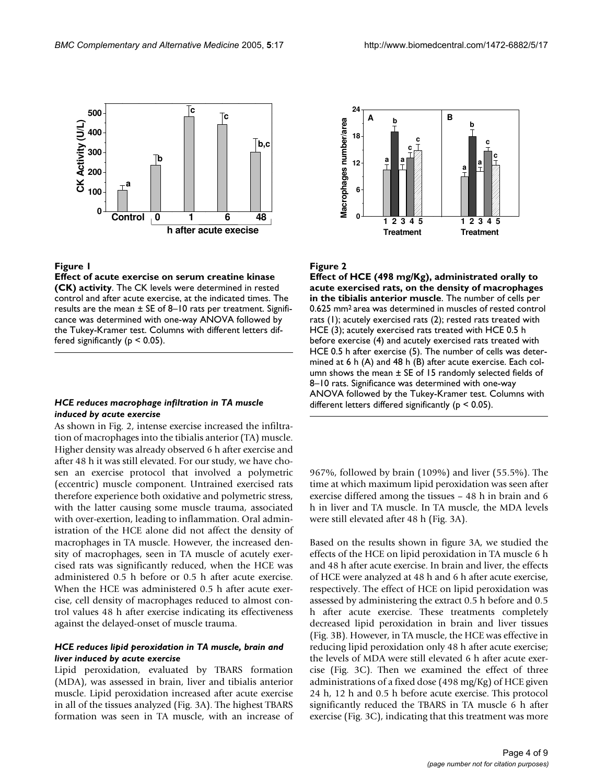

**Effect of acute exercise on serum creatine kinase (CK) activity**. The CK levels were determined in rested control and after acute exercise, at the indicated times. The results are the mean  $\pm$  SE of 8-10 rats per treatment. Significance was determined with one-way ANOVA followed by the Tukey-Kramer test. Columns with different letters differed significantly ( $p < 0.05$ ).

## *HCE reduces macrophage infiltration in TA muscle induced by acute exercise*

As shown in Fig. 2, intense exercise increased the infiltration of macrophages into the tibialis anterior (TA) muscle. Higher density was already observed 6 h after exercise and after 48 h it was still elevated. For our study, we have chosen an exercise protocol that involved a polymetric (eccentric) muscle component. Untrained exercised rats therefore experience both oxidative and polymetric stress, with the latter causing some muscle trauma, associated with over-exertion, leading to inflammation. Oral administration of the HCE alone did not affect the density of macrophages in TA muscle. However, the increased density of macrophages, seen in TA muscle of acutely exercised rats was significantly reduced, when the HCE was administered 0.5 h before or 0.5 h after acute exercise. When the HCE was administered 0.5 h after acute exercise, cell density of macrophages reduced to almost control values 48 h after exercise indicating its effectiveness against the delayed-onset of muscle trauma.

## *HCE reduces lipid peroxidation in TA muscle, brain and liver induced by acute exercise*

Lipid peroxidation, evaluated by TBARS formation (MDA), was assessed in brain, liver and tibialis anterior muscle. Lipid peroxidation increased after acute exercise in all of the tissues analyzed (Fig. 3A). The highest TBARS formation was seen in TA muscle, with an increase of



## Figure 2

**Effect of HCE (498 mg/Kg), administrated orally to acute exercised rats, on the density of macrophages in the tibialis anterior muscle**. The number of cells per 0.625 mm2 area was determined in muscles of rested control rats (1); acutely exercised rats (2); rested rats treated with HCE (3); acutely exercised rats treated with HCE 0.5 h before exercise (4) and acutely exercised rats treated with HCE 0.5 h after exercise (5). The number of cells was determined at 6 h (A) and 48 h (B) after acute exercise. Each column shows the mean  $\pm$  SE of 15 randomly selected fields of 8–10 rats. Significance was determined with one-way ANOVA followed by the Tukey-Kramer test. Columns with different letters differed significantly ( $p < 0.05$ ).

967%, followed by brain (109%) and liver (55.5%). The time at which maximum lipid peroxidation was seen after exercise differed among the tissues – 48 h in brain and 6 h in liver and TA muscle. In TA muscle, the MDA levels were still elevated after 48 h (Fig. 3A).

Based on the results shown in figure 3A, we studied the effects of the HCE on lipid peroxidation in TA muscle 6 h and 48 h after acute exercise. In brain and liver, the effects of HCE were analyzed at 48 h and 6 h after acute exercise, respectively. The effect of HCE on lipid peroxidation was assessed by administering the extract 0.5 h before and 0.5 h after acute exercise. These treatments completely decreased lipid peroxidation in brain and liver tissues (Fig. 3B). However, in TA muscle, the HCE was effective in reducing lipid peroxidation only 48 h after acute exercise; the levels of MDA were still elevated 6 h after acute exercise (Fig. 3C). Then we examined the effect of three administrations of a fixed dose (498 mg/Kg) of HCE given 24 h, 12 h and 0.5 h before acute exercise. This protocol significantly reduced the TBARS in TA muscle 6 h after exercise (Fig. 3C), indicating that this treatment was more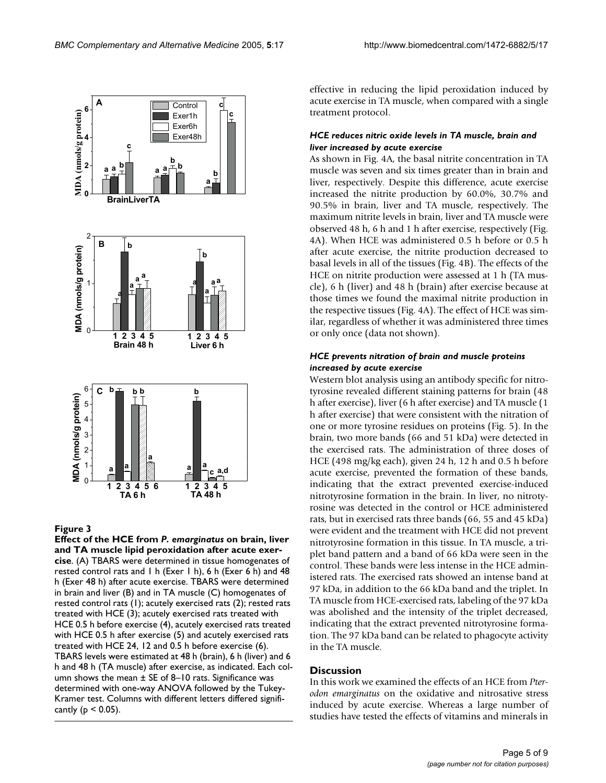

**Effect of the HCE from** *P. emarginatus* **on brain, liver and TA muscle lipid peroxidation after acute exercise**. (A) TBARS were determined in tissue homogenates of rested control rats and 1 h (Exer 1 h), 6 h (Exer 6 h) and 48 h (Exer 48 h) after acute exercise. TBARS were determined in brain and liver (B) and in TA muscle (C) homogenates of rested control rats (1); acutely exercised rats (2); rested rats treated with HCE (3); acutely exercised rats treated with HCE 0.5 h before exercise (4), acutely exercised rats treated with HCE 0.5 h after exercise (5) and acutely exercised rats treated with HCE 24, 12 and 0.5 h before exercise (6). TBARS levels were estimated at 48 h (brain), 6 h (liver) and 6 h and 48 h (TA muscle) after exercise, as indicated. Each column shows the mean  $\pm$  SE of 8–10 rats. Significance was determined with one-way ANOVA followed by the Tukey-Kramer test. Columns with different letters differed significantly ( $p < 0.05$ ).

effective in reducing the lipid peroxidation induced by acute exercise in TA muscle, when compared with a single treatment protocol.

## *HCE reduces nitric oxide levels in TA muscle, brain and liver increased by acute exercise*

As shown in Fig. 4A, the basal nitrite concentration in TA muscle was seven and six times greater than in brain and liver, respectively. Despite this difference, acute exercise increased the nitrite production by 60.0%, 30.7% and 90.5% in brain, liver and TA muscle, respectively. The maximum nitrite levels in brain, liver and TA muscle were observed 48 h, 6 h and 1 h after exercise, respectively (Fig. 4A). When HCE was administered 0.5 h before or 0.5 h after acute exercise, the nitrite production decreased to basal levels in all of the tissues (Fig. 4B). The effects of the HCE on nitrite production were assessed at 1 h (TA muscle), 6 h (liver) and 48 h (brain) after exercise because at those times we found the maximal nitrite production in the respective tissues (Fig. 4A). The effect of HCE was similar, regardless of whether it was administered three times or only once (data not shown).

## *HCE prevents nitration of brain and muscle proteins increased by acute exercise*

Western blot analysis using an antibody specific for nitrotyrosine revealed different staining patterns for brain (48 h after exercise), liver (6 h after exercise) and TA muscle (1 h after exercise) that were consistent with the nitration of one or more tyrosine residues on proteins (Fig. 5). In the brain, two more bands (66 and 51 kDa) were detected in the exercised rats. The administration of three doses of HCE (498 mg/kg each), given 24 h, 12 h and 0.5 h before acute exercise, prevented the formation of these bands, indicating that the extract prevented exercise-induced nitrotyrosine formation in the brain. In liver, no nitrotyrosine was detected in the control or HCE administered rats, but in exercised rats three bands (66, 55 and 45 kDa) were evident and the treatment with HCE did not prevent nitrotyrosine formation in this tissue. In TA muscle, a triplet band pattern and a band of 66 kDa were seen in the control. These bands were less intense in the HCE administered rats. The exercised rats showed an intense band at 97 kDa, in addition to the 66 kDa band and the triplet. In TA muscle from HCE-exercised rats, labeling of the 97 kDa was abolished and the intensity of the triplet decreased, indicating that the extract prevented nitrotyrosine formation. The 97 kDa band can be related to phagocyte activity in the TA muscle.

## **Discussion**

In this work we examined the effects of an HCE from *Pterodon emarginatus* on the oxidative and nitrosative stress induced by acute exercise. Whereas a large number of studies have tested the effects of vitamins and minerals in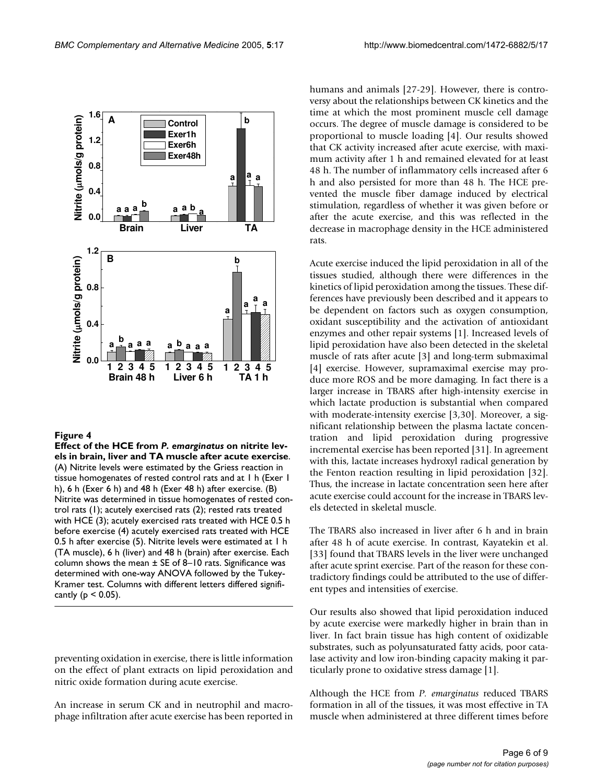

**Effect of the HCE from** *P. emarginatus* **on nitrite levels in brain, liver and TA muscle after acute exercise**. (A) Nitrite levels were estimated by the Griess reaction in tissue homogenates of rested control rats and at 1 h (Exer 1 h), 6 h (Exer 6 h) and 48 h (Exer 48 h) after exercise. (B) Nitrite was determined in tissue homogenates of rested control rats (1); acutely exercised rats (2); rested rats treated with HCE (3); acutely exercised rats treated with HCE 0.5 h before exercise (4) acutely exercised rats treated with HCE 0.5 h after exercise (5). Nitrite levels were estimated at 1 h (TA muscle), 6 h (liver) and 48 h (brain) after exercise. Each column shows the mean  $\pm$  SE of 8–10 rats. Significance was determined with one-way ANOVA followed by the Tukey-Kramer test. Columns with different letters differed significantly ( $p < 0.05$ ).

preventing oxidation in exercise, there is little information on the effect of plant extracts on lipid peroxidation and nitric oxide formation during acute exercise.

An increase in serum CK and in neutrophil and macrophage infiltration after acute exercise has been reported in humans and animals [27-29]. However, there is controversy about the relationships between CK kinetics and the time at which the most prominent muscle cell damage occurs. The degree of muscle damage is considered to be proportional to muscle loading [4]. Our results showed that CK activity increased after acute exercise, with maximum activity after 1 h and remained elevated for at least 48 h. The number of inflammatory cells increased after 6 h and also persisted for more than 48 h. The HCE prevented the muscle fiber damage induced by electrical stimulation, regardless of whether it was given before or after the acute exercise, and this was reflected in the decrease in macrophage density in the HCE administered rats.

Acute exercise induced the lipid peroxidation in all of the tissues studied, although there were differences in the kinetics of lipid peroxidation among the tissues. These differences have previously been described and it appears to be dependent on factors such as oxygen consumption, oxidant susceptibility and the activation of antioxidant enzymes and other repair systems [1]. Increased levels of lipid peroxidation have also been detected in the skeletal muscle of rats after acute [3] and long-term submaximal [4] exercise. However, supramaximal exercise may produce more ROS and be more damaging. In fact there is a larger increase in TBARS after high-intensity exercise in which lactate production is substantial when compared with moderate-intensity exercise [3,30]. Moreover, a significant relationship between the plasma lactate concentration and lipid peroxidation during progressive incremental exercise has been reported [31]. In agreement with this, lactate increases hydroxyl radical generation by the Fenton reaction resulting in lipid peroxidation [32]. Thus, the increase in lactate concentration seen here after acute exercise could account for the increase in TBARS levels detected in skeletal muscle.

The TBARS also increased in liver after 6 h and in brain after 48 h of acute exercise. In contrast, Kayatekin et al. [33] found that TBARS levels in the liver were unchanged after acute sprint exercise. Part of the reason for these contradictory findings could be attributed to the use of different types and intensities of exercise.

Our results also showed that lipid peroxidation induced by acute exercise were markedly higher in brain than in liver. In fact brain tissue has high content of oxidizable substrates, such as polyunsaturated fatty acids, poor catalase activity and low iron-binding capacity making it particularly prone to oxidative stress damage [1].

Although the HCE from *P. emarginatus* reduced TBARS formation in all of the tissues, it was most effective in TA muscle when administered at three different times before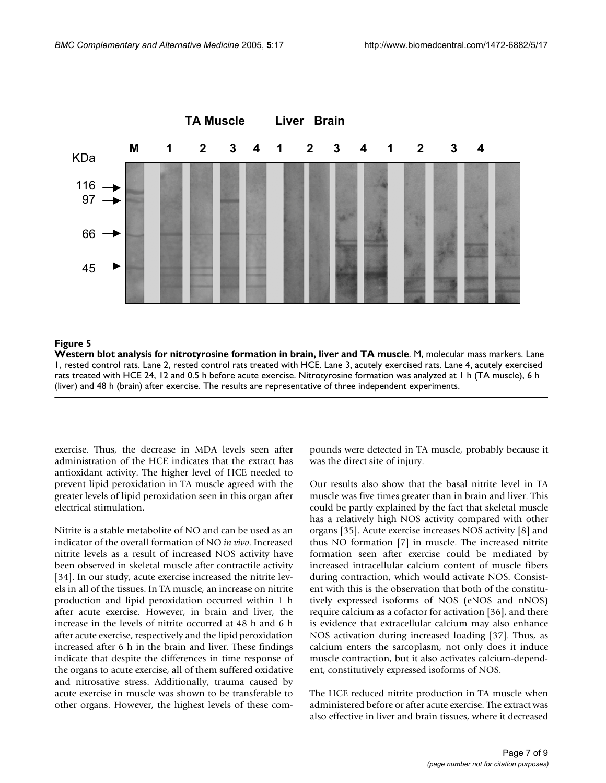

**Western blot analysis for nitrotyrosine formation in brain, liver and TA muscle**. M, molecular mass markers. Lane 1, rested control rats. Lane 2, rested control rats treated with HCE. Lane 3, acutely exercised rats. Lane 4, acutely exercised rats treated with HCE 24, 12 and 0.5 h before acute exercise. Nitrotyrosine formation was analyzed at 1 h (TA muscle), 6 h (liver) and 48 h (brain) after exercise. The results are representative of three independent experiments.

exercise. Thus, the decrease in MDA levels seen after administration of the HCE indicates that the extract has antioxidant activity. The higher level of HCE needed to prevent lipid peroxidation in TA muscle agreed with the greater levels of lipid peroxidation seen in this organ after electrical stimulation.

Nitrite is a stable metabolite of NO and can be used as an indicator of the overall formation of NO *in vivo*. Increased nitrite levels as a result of increased NOS activity have been observed in skeletal muscle after contractile activity [34]. In our study, acute exercise increased the nitrite levels in all of the tissues. In TA muscle, an increase on nitrite production and lipid peroxidation occurred within 1 h after acute exercise. However, in brain and liver, the increase in the levels of nitrite occurred at 48 h and 6 h after acute exercise, respectively and the lipid peroxidation increased after 6 h in the brain and liver. These findings indicate that despite the differences in time response of the organs to acute exercise, all of them suffered oxidative and nitrosative stress. Additionally, trauma caused by acute exercise in muscle was shown to be transferable to other organs. However, the highest levels of these compounds were detected in TA muscle, probably because it was the direct site of injury.

Our results also show that the basal nitrite level in TA muscle was five times greater than in brain and liver. This could be partly explained by the fact that skeletal muscle has a relatively high NOS activity compared with other organs [35]. Acute exercise increases NOS activity [8] and thus NO formation [7] in muscle. The increased nitrite formation seen after exercise could be mediated by increased intracellular calcium content of muscle fibers during contraction, which would activate NOS. Consistent with this is the observation that both of the constitutively expressed isoforms of NOS (eNOS and nNOS) require calcium as a cofactor for activation [36], and there is evidence that extracellular calcium may also enhance NOS activation during increased loading [37]. Thus, as calcium enters the sarcoplasm, not only does it induce muscle contraction, but it also activates calcium-dependent, constitutively expressed isoforms of NOS.

The HCE reduced nitrite production in TA muscle when administered before or after acute exercise. The extract was also effective in liver and brain tissues, where it decreased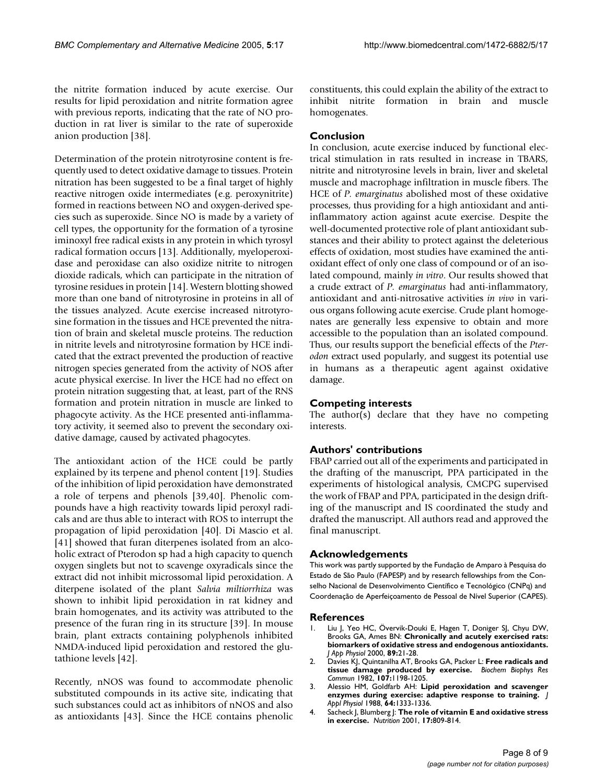the nitrite formation induced by acute exercise. Our results for lipid peroxidation and nitrite formation agree with previous reports, indicating that the rate of NO production in rat liver is similar to the rate of superoxide anion production [38].

Determination of the protein nitrotyrosine content is frequently used to detect oxidative damage to tissues. Protein nitration has been suggested to be a final target of highly reactive nitrogen oxide intermediates (e.g. peroxynitrite) formed in reactions between NO and oxygen-derived species such as superoxide. Since NO is made by a variety of cell types, the opportunity for the formation of a tyrosine iminoxyl free radical exists in any protein in which tyrosyl radical formation occurs [13]. Additionally, myeloperoxidase and peroxidase can also oxidize nitrite to nitrogen dioxide radicals, which can participate in the nitration of tyrosine residues in protein [14]. Western blotting showed more than one band of nitrotyrosine in proteins in all of the tissues analyzed. Acute exercise increased nitrotyrosine formation in the tissues and HCE prevented the nitration of brain and skeletal muscle proteins. The reduction in nitrite levels and nitrotyrosine formation by HCE indicated that the extract prevented the production of reactive nitrogen species generated from the activity of NOS after acute physical exercise. In liver the HCE had no effect on protein nitration suggesting that, at least, part of the RNS formation and protein nitration in muscle are linked to phagocyte activity. As the HCE presented anti-inflammatory activity, it seemed also to prevent the secondary oxidative damage, caused by activated phagocytes.

The antioxidant action of the HCE could be partly explained by its terpene and phenol content [19]. Studies of the inhibition of lipid peroxidation have demonstrated a role of terpens and phenols [39,40]. Phenolic compounds have a high reactivity towards lipid peroxyl radicals and are thus able to interact with ROS to interrupt the propagation of lipid peroxidation [40]. Di Mascio et al. [41] showed that furan diterpenes isolated from an alcoholic extract of Pterodon sp had a high capacity to quench oxygen singlets but not to scavenge oxyradicals since the extract did not inhibit microssomal lipid peroxidation. A diterpene isolated of the plant *Salvia miltiorrhiza* was shown to inhibit lipid peroxidation in rat kidney and brain homogenates, and its activity was attributed to the presence of the furan ring in its structure [39]. In mouse brain, plant extracts containing polyphenols inhibited NMDA-induced lipid peroxidation and restored the glutathione levels [42].

Recently, nNOS was found to accommodate phenolic substituted compounds in its active site, indicating that such substances could act as inhibitors of nNOS and also as antioxidants [43]. Since the HCE contains phenolic constituents, this could explain the ability of the extract to inhibit nitrite formation in brain and muscle homogenates.

## **Conclusion**

In conclusion, acute exercise induced by functional electrical stimulation in rats resulted in increase in TBARS, nitrite and nitrotyrosine levels in brain, liver and skeletal muscle and macrophage infiltration in muscle fibers. The HCE of *P. emarginatus* abolished most of these oxidative processes, thus providing for a high antioxidant and antiinflammatory action against acute exercise. Despite the well-documented protective role of plant antioxidant substances and their ability to protect against the deleterious effects of oxidation, most studies have examined the antioxidant effect of only one class of compound or of an isolated compound, mainly *in vitro*. Our results showed that a crude extract of *P. emarginatus* had anti-inflammatory, antioxidant and anti-nitrosative activities *in vivo* in various organs following acute exercise. Crude plant homogenates are generally less expensive to obtain and more accessible to the population than an isolated compound. Thus, our results support the beneficial effects of the *Pterodon* extract used popularly, and suggest its potential use in humans as a therapeutic agent against oxidative damage.

## **Competing interests**

The author(s) declare that they have no competing interests.

## **Authors' contributions**

FBAP carried out all of the experiments and participated in the drafting of the manuscript, PPA participated in the experiments of histological analysis, CMCPG supervised the work of FBAP and PPA, participated in the design drifting of the manuscript and IS coordinated the study and drafted the manuscript. All authors read and approved the final manuscript.

## **Acknowledgements**

This work was partly supported by the Fundação de Amparo à Pesquisa do Estado de São Paulo (FAPESP) and by research fellowships from the Conselho Nacional de Desenvolvimento Científico e Tecnológico (CNPq) and Coordenação de Aperfeiçoamento de Pessoal de Nível Superior (CAPES).

## **References**

- 1. Liu J, Yeo HC, Övervik-Douki E, Hagen T, Doniger SJ, Chyu DW, Brooks GA, Ames BN: **Chronically and acutely exercised rats: biomarkers of oxidative stress and endogenous antioxidants.** *J App Physiol* 2000, **89:**21-28.
- 2. Davies KJ, Quintanilha AT, Brooks GA, Packer L: **[Free radicals and](http://www.ncbi.nlm.nih.gov/entrez/query.fcgi?cmd=Retrieve&db=PubMed&dopt=Abstract&list_uids=6291524) [tissue damage produced by exercise.](http://www.ncbi.nlm.nih.gov/entrez/query.fcgi?cmd=Retrieve&db=PubMed&dopt=Abstract&list_uids=6291524)** *Biochem Biophys Res Commun* 1982, **107:**1198-1205.
- 3. Alessio HM, Goldfarb AH: **[Lipid peroxidation and scavenger](http://www.ncbi.nlm.nih.gov/entrez/query.fcgi?cmd=Retrieve&db=PubMed&dopt=Abstract&list_uids=3378967) [enzymes during exercise: adaptive response to training.](http://www.ncbi.nlm.nih.gov/entrez/query.fcgi?cmd=Retrieve&db=PubMed&dopt=Abstract&list_uids=3378967)** *J Appl Physiol* 1988, **64:**1333-1336.
- 4. Sacheck J, Blumberg J: **[The role of vitamin E and oxidative stress](http://www.ncbi.nlm.nih.gov/entrez/query.fcgi?cmd=Retrieve&db=PubMed&dopt=Abstract&list_uids=11684385) [in exercise.](http://www.ncbi.nlm.nih.gov/entrez/query.fcgi?cmd=Retrieve&db=PubMed&dopt=Abstract&list_uids=11684385)** *Nutrition* 2001, **17:**809-814.